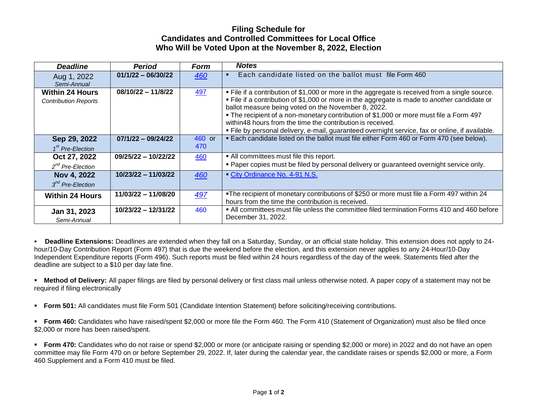## **Filing Schedule for Candidates and Controlled Committees for Local Office Who Will be Voted Upon at the November 8, 2022, Election**

| <b>Deadline</b>                                       | <b>Period</b>         | Form          | <b>Notes</b>                                                                                                                                                                                                                                                                                                                                                                                                                                                                                                     |
|-------------------------------------------------------|-----------------------|---------------|------------------------------------------------------------------------------------------------------------------------------------------------------------------------------------------------------------------------------------------------------------------------------------------------------------------------------------------------------------------------------------------------------------------------------------------------------------------------------------------------------------------|
| Aug 1, 2022<br>Semi-Annual                            | $01/1/22 - 06/30/22$  | 460           | Each candidate listed on the ballot must file Form 460                                                                                                                                                                                                                                                                                                                                                                                                                                                           |
| <b>Within 24 Hours</b><br><b>Contribution Reports</b> | $08/10/22 - 11/8/22$  | 497           | . File if a contribution of \$1,000 or more in the aggregate is received from a single source.<br>. File if a contribution of \$1,000 or more in the aggregate is made to another candidate or<br>ballot measure being voted on the November 8, 2022.<br>. The recipient of a non-monetary contribution of \$1,000 or more must file a Form 497<br>within48 hours from the time the contribution is received.<br>. File by personal delivery, e-mail, guaranteed overnight service, fax or online, if available. |
| Sep 29, 2022<br>$1st$ Pre-Election                    | $07/1/22 - 09/24/22$  | 460 or<br>470 | . Each candidate listed on the ballot must file either Form 460 or Form 470 (see below).                                                                                                                                                                                                                                                                                                                                                                                                                         |
| Oct 27, 2022<br>$2^{nd}$ Pre-Election                 | $09/25/22 - 10/22/22$ | 460           | • All committees must file this report.<br>. Paper copies must be filed by personal delivery or guaranteed overnight service only.                                                                                                                                                                                                                                                                                                                                                                               |
| Nov 4, 2022<br>$3nd$ Pre-Election                     | $10/23/22 - 11/03/22$ | 460           | City Ordinance No. 4-91 N.S.                                                                                                                                                                                                                                                                                                                                                                                                                                                                                     |
| <b>Within 24 Hours</b>                                | 11/03/22 - 11/08/20   | 497           | •The recipient of monetary contributions of \$250 or more must file a Form 497 within 24<br>hours from the time the contribution is received.                                                                                                                                                                                                                                                                                                                                                                    |
| Jan 31, 2023<br>Semi-Annual                           | 10/23/22 - 12/31/22   | 460           | . All committees must file unless the committee filed termination Forms 410 and 460 before<br>December 31, 2022.                                                                                                                                                                                                                                                                                                                                                                                                 |

▪ **Deadline Extensions:** Deadlines are extended when they fall on a Saturday, Sunday, or an official state holiday. This extension does not apply to 24 hour/10-Day Contribution Report (Form 497) that is due the weekend before the election, and this extension never applies to any 24-Hour/10-Day Independent Expenditure reports (Form 496). Such reports must be filed within 24 hours regardless of the day of the week. Statements filed after the deadline are subject to a \$10 per day late fine.

**EXTED 10 TEST ALL PAPER THE STAR IN PAPER THE ALL PRO** in Method of the Unity or first class mail unless otherwise noted. A paper copy of a statement may not be required if filing electronically

**• Form 501:** All candidates must file Form 501 (Candidate Intention Statement) before soliciting/receiving contributions.

▪ **Form 460:** Candidates who have raised/spent \$2,000 or more file the Form 460. The Form 410 (Statement of Organization) must also be filed once \$2,000 or more has been raised/spent.

**• Form 470:** Candidates who do not raise or spend \$2,000 or more (or anticipate raising or spending \$2,000 or more) in 2022 and do not have an open committee may file Form 470 on or before September 29, 2022. If, later during the calendar year, the candidate raises or spends \$2,000 or more, a Form 460 Supplement and a Form 410 must be filed.